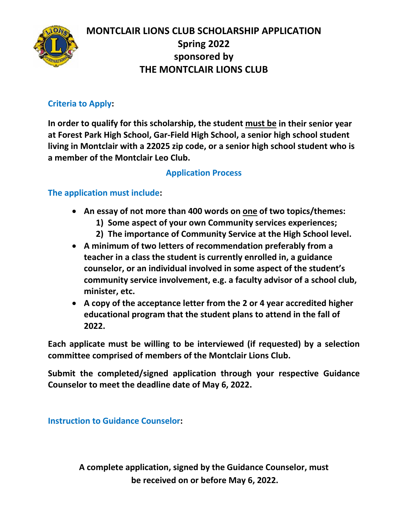

#### **Criteria to Apply:**

**In order to qualify for this scholarship, the student must be in their senior year at Forest Park High School, Gar-Field High School, a senior high school student living in Montclair with a 22025 zip code, or a senior high school student who is a member of the Montclair Leo Club.**

#### **Application Process**

#### **The application must include:**

- **An essay of not more than 400 words on one of two topics/themes:**
	- **1) Some aspect of your own Community services experiences;**
	- **2) The importance of Community Service at the High School level.**
- **A minimum of two letters of recommendation preferably from a teacher in a class the student is currently enrolled in, a guidance counselor, or an individual involved in some aspect of the student's community service involvement, e.g. a faculty advisor of a school club, minister, etc.**
- **A copy of the acceptance letter from the 2 or 4 year accredited higher educational program that the student plans to attend in the fall of 2022.**

**Each applicate must be willing to be interviewed (if requested) by a selection committee comprised of members of the Montclair Lions Club.**

**Submit the completed/signed application through your respective Guidance Counselor to meet the deadline date of May 6, 2022.** 

**Instruction to Guidance Counselor:** 

**A complete application, signed by the Guidance Counselor, must be received on or before May 6, 2022.**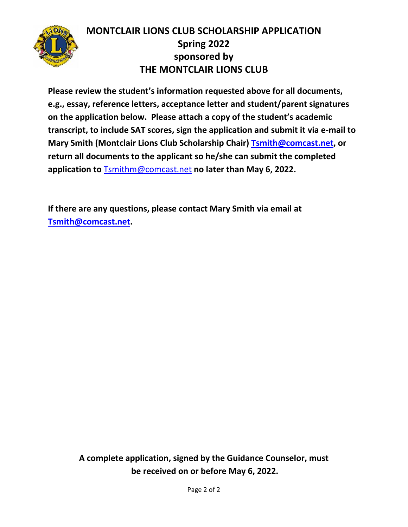

**Please review the student's information requested above for all documents, e.g., essay, reference letters, acceptance letter and student/parent signatures on the application below. Please attach a copy of the student's academic transcript, to include SAT scores, sign the application and submit it via e-mail to Mary Smith (Montclair Lions Club Scholarship Chair) [Tsmith@comcast.net,](mailto:Tsmith@comcast.net) or return all documents to the applicant so he/she can submit the completed application to**[Tsmithm@comcast.net](mailto:Tsmithm@comcast.net) **no later than May 6, 2022.** 

**If there are any questions, please contact Mary Smith via email at [Tsmith@comcast.net.](mailto:Tsmith@comcast.net)** 

> **A complete application, signed by the Guidance Counselor, must be received on or before May 6, 2022.**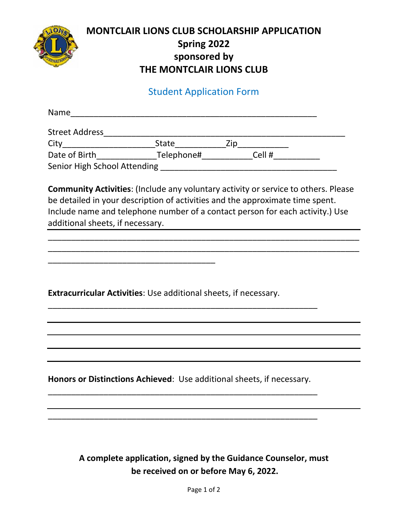

#### Student Application Form

| Name                         |            |     |        |  |
|------------------------------|------------|-----|--------|--|
| <b>Street Address</b>        |            |     |        |  |
| City                         | State      | Zin |        |  |
| Date of Birth                | Telephone# |     | Cell # |  |
| Senior High School Attending |            |     |        |  |

**Community Activities**: (Include any voluntary activity or service to others. Please be detailed in your description of activities and the approximate time spent. Include name and telephone number of a contact person for each activity.) Use additional sheets, if necessary.

\_\_\_\_\_\_\_\_\_\_\_\_\_\_\_\_\_\_\_\_\_\_\_\_\_\_\_\_\_\_\_\_\_\_\_\_\_\_\_\_\_\_\_\_\_\_\_\_\_\_\_\_\_\_\_\_\_\_\_\_\_\_\_\_\_\_\_ \_\_\_\_\_\_\_\_\_\_\_\_\_\_\_\_\_\_\_\_\_\_\_\_\_\_\_\_\_\_\_\_\_\_\_\_\_\_\_\_\_\_\_\_\_\_\_\_\_\_\_\_\_\_\_\_\_\_\_\_\_\_\_\_\_\_\_

**Extracurricular Activities**: Use additional sheets, if necessary.

\_\_\_\_\_\_\_\_\_\_\_\_\_\_\_\_\_\_\_\_\_\_\_\_\_\_\_\_\_\_\_\_\_\_\_\_

**Honors or Distinctions Achieved**: Use additional sheets, if necessary. \_\_\_\_\_\_\_\_\_\_\_\_\_\_\_\_\_\_\_\_\_\_\_\_\_\_\_\_\_\_\_\_\_\_\_\_\_\_\_\_\_\_\_\_\_\_\_\_\_\_\_\_\_\_\_\_\_\_

\_\_\_\_\_\_\_\_\_\_\_\_\_\_\_\_\_\_\_\_\_\_\_\_\_\_\_\_\_\_\_\_\_\_\_\_\_\_\_\_\_\_\_\_\_\_\_\_\_\_\_\_\_\_\_\_\_\_

\_\_\_\_\_\_\_\_\_\_\_\_\_\_\_\_\_\_\_\_\_\_\_\_\_\_\_\_\_\_\_\_\_\_\_\_\_\_\_\_\_\_\_\_\_\_\_\_\_\_\_\_\_\_\_\_\_\_

**A complete application, signed by the Guidance Counselor, must be received on or before May 6, 2022.**

Page 1 of 2